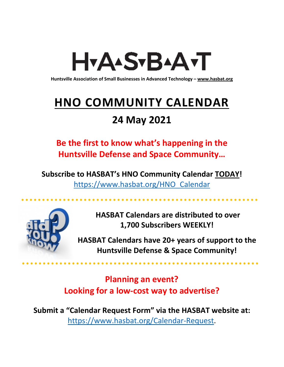# H<sub>Y</sub>AASTBAATT

**Huntsville Association of Small Businesses in Advanced Technology – [www.hasbat.org](http://www.hasbat.org/)**

# **HNO COMMUNITY CALENDAR**

### **24 May 2021**

**Be the first to know what's happening in the Huntsville Defense and Space Community…** 

**Subscribe to HASBAT's HNO Community Calendar TODAY!**  [https://www.hasbat.org/HNO\\_Calendar](https://www.hasbat.org/HNO_Calendar)



**HASBAT Calendars are distributed to over 1,700 Subscribers WEEKLY!**

**HASBAT Calendars have 20+ years of support to the Huntsville Defense & Space Community!** 

**Planning an event? Looking for a low-cost way to advertise?**

**Submit a "Calendar Request Form" via the HASBAT website at:**  [https://www.hasbat.org/Calendar-Request.](https://www.hasbat.org/Calendar-Request)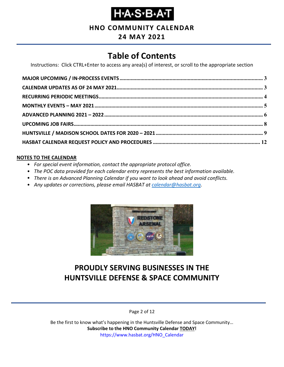#### **HNO COMMUNITY CALENDAR**

#### **24 MAY 2021**

### **Table of Contents**

Instructions: Click CTRL+Enter to access any area(s) of interest, or scroll to the appropriate section

#### **NOTES TO THE CALENDAR**

- *For special event information, contact the appropriate protocol office.*
- *The POC data provided for each calendar entry represents the best information available.*
- *There is an Advanced Planning Calendar if you want to look ahead and avoid conflicts.*
- *Any updates or corrections, please email HASBAT at [calendar@hasbat.org.](mailto:calendar@hasbat.org)*



### **PROUDLY SERVING BUSINESSES IN THE HUNTSVILLE DEFENSE & SPACE COMMUNITY**

Page 2 of 12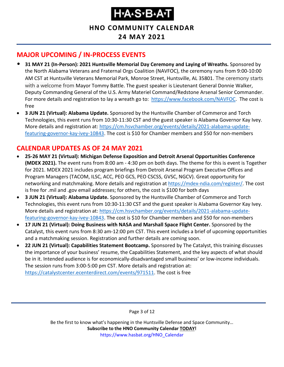**HNO COMMUNITY CALENDAR**

#### **24 MAY 2021**

### <span id="page-2-0"></span>**MAJOR UPCOMING / IN-PROCESS EVENTS**

- **31 MAY 21 (In-Person): 2021 Huntsville Memorial Day Ceremony and Laying of Wreaths.** Sponsored by the North Alabama Veterans and Fraternal Orgs Coalition (NAVFOC), the ceremony runs from 9:00-10:00 AM CST at Huntsville Veterans Memorial Park, Monroe Street, Huntsville, AL 35801. The ceremony starts with a welcome from Mayor Tommy Battle. The guest speaker is Lieutenant General Donnie Walker, Deputy Commanding General of the U.S. Army Materiel Command/Redstone Arsenal Senior Commander. For more details and registration to lay a wreath go to: [https://www.facebook.com/NAVFOC.](https://www.facebook.com/NAVFOC) The cost is free
- **3 JUN 21 (Virtual): Alabama Update.** Sponsored by the Huntsville Chamber of Commerce and Torch Technologies, this event runs from 10:30-11:30 CST and the guest speaker is Alabama Governor Kay Ivey. More details and registration at: [https://cm.hsvchamber.org/events/details/2021-alabama-update](https://cm.hsvchamber.org/events/details/2021-alabama-update-featuring-governor-kay-ivey-10843)[featuring-governor-kay-ivey-10843.](https://cm.hsvchamber.org/events/details/2021-alabama-update-featuring-governor-kay-ivey-10843) The cost is \$10 for Chamber members and \$50 for non-members

### <span id="page-2-1"></span>**CALENDAR UPDATES AS OF 24 MAY 2021**

- **25-26 MAY 21 (Virtual): Michigan Defense Exposition and Detroit Arsenal Opportunities Conference (MDEX 2021).** The event runs from 8:00 am - 4:30 pm on both days. The theme for this is event is Together for 2021. MDEX 2021 includes program briefings from Detroit Arsenal Program Executive Offices and Program Managers (TACOM, ILSC, ACC, PEO GCS, PEO CSCSS, GVSC, NGCV). Great opportunity for networking and matchmaking. More details and registration at [https://mdex-ndia.com/register/.](https://mdex-ndia.com/register/) The cost is free for .mil and .gov email addresses; for others, the cost is \$100 for both days
- **3 JUN 21 (Virtual): Alabama Update.** Sponsored by the Huntsville Chamber of Commerce and Torch Technologies, this event runs from 10:30-11:30 CST and the guest speaker is Alabama Governor Kay Ivey. More details and registration at: [https://cm.hsvchamber.org/events/details/2021-alabama-update](https://cm.hsvchamber.org/events/details/2021-alabama-update-featuring-governor-kay-ivey-10843)[featuring-governor-kay-ivey-10843.](https://cm.hsvchamber.org/events/details/2021-alabama-update-featuring-governor-kay-ivey-10843) The cost is \$10 for Chamber members and \$50 for non-members
- **17 JUN 21 (Virtual): Doing Business with NASA and Marshall Space Flight Center.** Sponsored by the Catalyst, this event runs from 8:30 am-12:00 pm CST. This event includes a brief of upcoming opportunities and a matchmaking session. Registration and further details are coming soon.
- **22 JUN 21 (Virtual): Capabilities Statement Bootcamp.** Sponsored by The Catalyst, this training discusses the importance of your business' resume, the Capabilities Statement, and the key aspects of what should be in it. Intended audience is for economically-disadvantaged small business' or low-income individuals. The session runs from 3:00-5:00 pm CST. More details and registration at: [https://catalystcenter.ecenterdirect.com/events/971511.](https://catalystcenter.ecenterdirect.com/events/971511) The cost is free

Page 3 of 12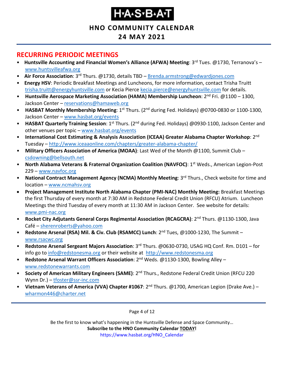#### **HNO COMMUNITY CALENDAR**

#### **24 MAY 2021**

#### <span id="page-3-0"></span>**RECURRING PERIODIC MEETINGS**

- Huntsville Accounting and Financial Women's Alliance (AFWA) Meeting: 3<sup>rd</sup> Tues. @1730, Terranova's [www.huntsvilleafwa.org](http://www.huntsvilleafwa.org/)
- **Air Force Association**: 3<sup>rd</sup> Thurs. @1730, details TBD [Brenda.armstrong@edwardjones.com](mailto:Brenda.armstrong@edwardjones.com)
- **Energy HSV**: Periodic Breakfast Meetings and Luncheons, for more information, contact Trisha Truitt [trisha.truitt@energyhuntsville.com](mailto:trisha.truitt@energyhuntsville.com) or Kecia Pierce [kecia.pierce@energyhuntsville.com](mailto:kecia.pierce@energyhuntsville.com) for details.
- Huntsville Aerospace Marketing Association (HAMA) Membership Luncheon: 2<sup>nd</sup> Fri. @1100 1300, Jackson Center – [reservations@hamaweb.org](mailto:reservations@hamaweb.org)
- **HASBAT Monthly Membership Meeting**: 1<sup>st</sup> Thurs. (2<sup>nd</sup> during Fed. Holidays) @0700-0830 or 1100-1300, Jackson Center – [www.hasbat.org/events](http://www.hasbat.org/events)
- **HASBAT Quarterly Training Session**: 1<sup>st</sup> Thurs. (2<sup>nd</sup> during Fed. Holidays) @0930-1100, Jackson Center and other venues per topic – [www.hasbat.org/events](http://www.hasbat.org/events)
- **International Cost Estimating & Analysis Association (ICEAA) Greater Alabama Chapter Workshop**: 2nd Tuesday – <http://www.iceaaonline.com/chapters/greater-alabama-chapter/>
- **Military Officers Association of America (MOAA)**: Last Wed of the Month @1100, Summit Club [csdowning@bellsouth.net](mailto:csdowning@bellsouth.net)
- **North Alabama Veterans & Fraternal Organization Coalition (NAVFOC): 1<sup>st</sup> Weds., American Legion-Post** 229 – [www.navfoc.org](http://www.navfoc.org/)
- **National Contract Management Agency (NCMA) Monthly Meeting**: 3rd Thurs., Check website for time and location – [www.ncmahsv.org](http://www.ncmahsv.org/)
- **Project Management Institute North Alabama Chapter (PMI-NAC) Monthly Meeting:** Breakfast Meetings the first Thursday of every month at 7:30 AM in Redstone Federal Credit Union (RFCU) Atrium. Luncheon Meetings the third Tuesday of every month at 11:30 AM in Jackson Center. See website for details: [www.pmi-nac.org](http://www.pmi-nac.org/)
- **Rocket City Adjutants General Corps Regimental Association (RCAGCRA)**: 2nd Thurs. @1130-1300, Java Café – [sherenroberts@yahoo.com](mailto:sherenroberts@yahoo.com)
- **Redstone Arsenal (RSA) Mil. & Civ. Club (RSAMCC) Lunch**: 2nd Tues, @1000-1230, The Summit [www.rsacwc.org](http://www.rsacwc.org/)
- **Redstone Arsenal Sergeant Majors Association**: 3rd Thurs. @0630-0730, USAG HQ Conf. Rm. D101 for info go to [info@redstonesma.org](mailto:info@redstonesma.org) or their website at [http://www.redstonesma.org](http://www.redstonesma.org/)
- **Redstone Arsenal Warrant Officers Association**: 2nd Weds. @1130-1300, Bowling Alley [www.redstonewarrants.com](http://www.redstonewarrants.com/)
- **Society of American Military Engineers (SAME)**: 2nd Thurs., Redstone Federal Credit Union (RFCU 220 Wynn Dr.) – [tfoster@ssr-inc.com](mailto:tfoster@ssr-inc.com)
- **Vietnam Veterans of America (VVA) Chapter #1067**: 2nd Thurs. @1700, American Legion (Drake Ave.) [wharmon446@charter.net](mailto:wharmon446@charter.net)

Page 4 of 12

Be the first to know what's happening in the Huntsville Defense and Space Community…

**Subscribe to the HNO Community Calendar TODAY!** 

https://www.hasbat.org/HNO\_Calendar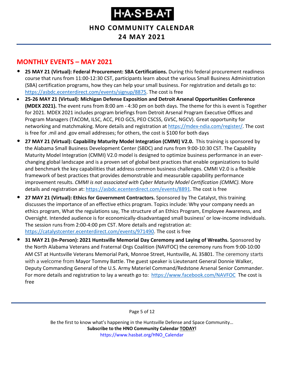**HNO COMMUNITY CALENDAR**

#### **24 MAY 2021**

#### <span id="page-4-0"></span>**MONTHLY EVENTS – MAY 2021**

- **25 MAY 21 (Virtual): Federal Procurement: SBA Certifications.** During this federal procurement readiness course that runs from 11:00-12:30 CST, participants learn about the various Small Business Administration (SBA) certification programs, how they can help your small business. For registration and details go to: [https://asbdc.ecenterdirect.com/events/signup/8875.](https://asbdc.ecenterdirect.com/events/signup/8875) The cost is free
- **25-26 MAY 21 (Virtual): Michigan Defense Exposition and Detroit Arsenal Opportunities Conference (MDEX 2021).** The event runs from 8:00 am - 4:30 pm on both days. The theme for this is event is Together for 2021. MDEX 2021 includes program briefings from Detroit Arsenal Program Executive Offices and Program Managers (TACOM, ILSC, ACC, PEO GCS, PEO CSCSS, GVSC, NGCV). Great opportunity for networking and matchmaking. More details and registration at [https://mdex-ndia.com/register/.](https://mdex-ndia.com/register/) The cost is free for .mil and .gov email addresses; for others, the cost is \$100 for both days
- **27 MAY 21 (Virtual): Capability Maturity Model Integration (CMMI) V2.0.** This training is sponsored by the Alabama Small Business Development Center (SBDC) and runs from 9:00-10:30 CST. The Capability Maturity Model Integration (CMMI) V2.0 model is designed to optimize business performance in an everchanging global landscape and is a proven set of global best practices that enable organizations to build and benchmark the key capabilities that address common business challenges. CMMI V2.0 is a flexible framework of best practices that provides demonstrable and measurable capability performance improvement results. *CMMI is not associated with Cyber Maturity Model Certification (CMMC).* More details and registration at: [https://asbdc.ecenterdirect.com/events/8891.](https://asbdc.ecenterdirect.com/events/8891) The cost is free
- **27 MAY 21 (Virtual): Ethics for Government Contractors.** Sponsored by The Catalyst, this training discusses the importance of an effective ethics program. Topics include: Why your company needs an ethics program, What the regulations say, The structure of an Ethics Program, Employee Awareness, and Oversight. Intended audience is for economically-disadvantaged small business' or low-income individuals. The session runs from 2:00-4:00 pm CST. More details and registration at: [https://catalystcenter.ecenterdirect.com/events/971490.](https://catalystcenter.ecenterdirect.com/events/971490) The cost is free
- **31 MAY 21 (In-Person): 2021 Huntsville Memorial Day Ceremony and Laying of Wreaths.** Sponsored by the North Alabama Veterans and Fraternal Orgs Coalition (NAVFOC) the ceremony runs from 9:00-10:00 AM CST at Huntsville Veterans Memorial Park, Monroe Street, Huntsville, AL 35801. The ceremony starts with a welcome from Mayor Tommy Battle. The guest speaker is Lieutenant General Donnie Walker, Deputy Commanding General of the U.S. Army Materiel Command/Redstone Arsenal Senior Commander. For more details and registration to lay a wreath go to: <https://www.facebook.com/NAVFOC>The cost is free

Page 5 of 12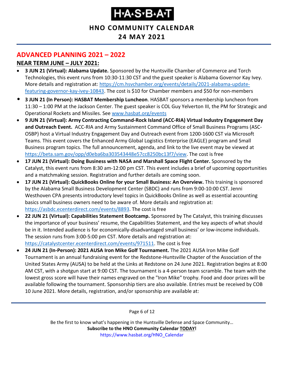#### **HNO COMMUNITY CALENDAR**

#### **24 MAY 2021**

### <span id="page-5-0"></span>**ADVANCED PLANNING 2021 – 2022**

#### **NEAR TERM JUNE – JULY 2021:**

- **3 JUN 21 (Virtual): Alabama Update.** Sponsored by the Huntsville Chamber of Commerce and Torch Technologies, this event runs from 10:30-11:30 CST and the guest speaker is Alabama Governor Kay Ivey. More details and registration at: [https://cm.hsvchamber.org/events/details/2021-alabama-update](https://cm.hsvchamber.org/events/details/2021-alabama-update-featuring-governor-kay-ivey-10843)[featuring-governor-kay-ivey-10843.](https://cm.hsvchamber.org/events/details/2021-alabama-update-featuring-governor-kay-ivey-10843) The cost is \$10 for Chamber members and \$50 for non-members
- **3 JUN 21 (In Person): HASBAT Membership Luncheon**. HASBAT sponsors a membership luncheon from 11:30 – 1:00 PM at the Jackson Center. The guest speaker is COL Guy Yelverton III, the PM for Strategic and Operational Rockets and Missiles. See [www.hasbat.org/events](http://www.hasbat.org/events)
- **9 JUN 21 (Virtual): Army Contracting Command-Rock Island (ACC-RIA) Virtual Industry Engagement Day and Outreach Event.** ACC-RIA and Army Sustainment Command Office of Small Business Programs (ASC-OSBP) host a Virtual Industry Engagement Day and Outreach event from 1200-1600 CST via Microsoft Teams. This event covers the Enhanced Army Global Logistics Enterprise (EAGLE) program and Small Business program topics. The full announcement, agenda, and link to the live event may be viewed at [https://beta.sam.gov/opp/d0eba6ba303543448e57cc8250bc13f7/view.](https://beta.sam.gov/opp/d0eba6ba303543448e57cc8250bc13f7/view) The cost is free
- **17 JUN 21 (Virtual): Doing Business with NASA and Marshall Space Flight Center.** Sponsored by the Catalyst, this event runs from 8:30 am-12:00 pm CST. This event includes a brief of upcoming opportunities and a matchmaking session. Registration and further details are coming soon.
- **17 JUN 21 (Virtual): QuickBooks Online for your Small Business: An Overview.** This training is sponsored by the Alabama Small Business Development Center (SBDC) and runs from 9:00-10:00 CST. Jenni Westhoven CPA presents introductory level topics in QuickBooks Online as well as essential accounting basics small business owners need to be aware of. More details and registration at: [https://asbdc.ecenterdirect.com/events/8893.](https://asbdc.ecenterdirect.com/events/8893) The cost is free
- **22 JUN 21 (Virtual): Capabilities Statement Bootcamp.** Sponsored by The Catalyst, this training discusses the importance of your business' resume, the Capabilities Statement, and the key aspects of what should be in it. Intended audience is for economically-disadvantaged small business' or low-income individuals. The session runs from 3:00-5:00 pm CST. More details and registration at: [https://catalystcenter.ecenterdirect.com/events/971511.](https://catalystcenter.ecenterdirect.com/events/971511) The cost is free
- **24 JUN 21 (In-Person): 2021 AUSA Iron Mike Golf Tournament.** The 2021 AUSA Iron Mike Golf Tournament is an annual fundraising event for the Redstone-Huntsville Chapter of the Association of the United States Army (AUSA) to be held at the Links at Redstone on 24 June 2021. Registration begins at 8:00 AM CST, with a shotgun start at 9:00 CST. The tournament is a 4-person team scramble. The team with the lowest gross score will have their names engraved on the "Iron Mike" trophy. Food and door prizes will be available following the tournament. Sponsorship tiers are also available. Entries must be received by COB 10 June 2021. More details, registration, and/or sponsorship are available at:

Page 6 of 12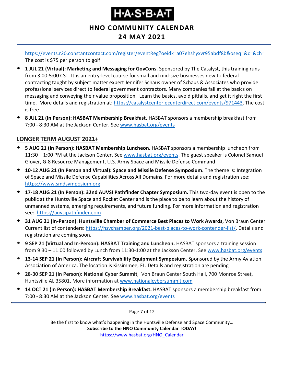# Ҥ҂ѦӠ҂Ѳ҂Ѧӵ

#### **HNO COMMUNITY CALENDAR**

#### **24 MAY 2021**

<https://events.r20.constantcontact.com/register/eventReg?oeidk=a07ehshyxvr95abdf8b&oseq=&c=&ch=> The cost is \$75 per person to golf

- **1 JUL 21 (Virtual): Marketing and Messaging for GovCons.** Sponsored by The Catalyst, this training runs from 3:00-5:00 CST. It is an entry-level course for small and mid-size businesses new to federal contracting taught by subject matter expert Jennifer Schaus owner of Schaus & Associates who provide professional services direct to federal government contractors. Many companies fail at the basics on messaging and conveying their value proposition. Learn the basics, avoid pitfalls, and get it right the first time. More details and registration at: [https://catalystcenter.ecenterdirect.com/events/971443.](https://catalystcenter.ecenterdirect.com/events/971443) The cost is free
- **8 JUL 21 (In Person): HASBAT Membership Breakfast.** HASBAT sponsors a membership breakfast from 7:00 - 8:30 AM at the Jackson Center. See [www.hasbat.org/events](http://www.hasbat.org/events)

#### **LONGER TERM AUGUST 2021+**

- **5 AUG 21 (In Person): HASBAT Membership Luncheon**. HASBAT sponsors a membership luncheon from 11:30 – 1:00 PM at the Jackson Center. Se[e www.hasbat.org/events.](http://www.hasbat.org/events) The guest speaker is Colonel Samuel Glover, G-8 Resource Management, U.S. Army Space and Missile Defense Command
- **10-12 AUG 21 (In Person and Virtual): Space and Missile Defense Symposium**. The theme is: Integration of Space and Missile Defense Capabilities Across All Domains. For more details and registration see: [https://www.smdsymposium.org.](https://www.smdsymposium.org/)
- **17-18 AUG 21 (In Person): 32nd AUVSI Pathfinder Chapter Symposium.** This two-day event is open to the public at the Huntsville Space and Rocket Center and is the place to be to learn about the history of unmanned systems, emerging requirements, and future funding. For more information and registration see: [https://auvsipathfinder.com](https://auvsipathfinder.com/)
- **31 AUG 21 (In-Person): Huntsville Chamber of Commerce Best Places to Work Awards**, Von Braun Center. Current list of contenders: [https://hsvchamber.org/2021-best-places-to-work-contender-list/.](https://hsvchamber.org/2021-best-places-to-work-contender-list/) Details and registration are coming soon.
- **9 SEP 21 (Virtual and In-Person): HASBAT Training and Luncheon.** HASBAT sponsors a training session from 9:30 – 11:00 followed by Lunch from 11:30-1:00 at the Jackson Center. See [www.hasbat.org/events](http://www.hasbat.org/events)
- **13-14 SEP 21 (In Person): Aircraft Survivability Equipment Symposium.** Sponsored by the Army Aviation Association of America. The location is Kissimmee, FL. Details and registration are pending
- **28-30 SEP 21 (In Person): National Cyber Summit**, Von Braun Center South Hall, 700 Monroe Street, Huntsville AL 35801, More information a[t www.nationalcybersummit.com](http://www.nationalcybersummit.com/)
- **14 OCT 21 (In Person): HASBAT Membership Breakfast.** HASBAT sponsors a membership breakfast from 7:00 - 8:30 AM at the Jackson Center. See [www.hasbat.org/events](http://www.hasbat.org/events)

Page 7 of 12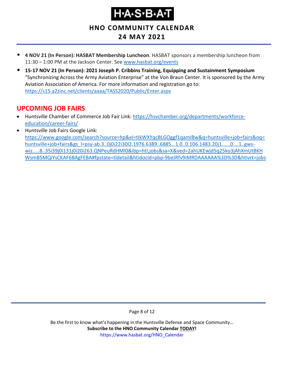# ҤѦӠѵЪѦ

**HNO COMMUNITY CALENDAR**

### **24 MAY 2021**

- **4 NOV 21 (In Person): HASBAT Membership Luncheon**. HASBAT sponsors a membership luncheon from 11:30 – 1:00 PM at the Jackson Center. Se[e www.hasbat.org/events](http://www.hasbat.org/events)
- **15-17 NOV 21 (In Person): 2021 Joseph P. Cribbins Training, Equipping and Sustainment Symposium** "Synchronizing Across the Army Aviation Enterprise" at the Von Braun Center. It is sponsored by the Army Aviation Association of America. For more information and registration go to: <https://s15.a2zinc.net/clients/aaaa/TASS2020/Public/Enter.aspx>

#### <span id="page-7-0"></span>**UPCOMING JOB FAIRS**

- Huntsville Chamber of Commerce Job Fair Link: [https://hsvchamber.org/departments/workforce](https://hsvchamber.org/departments/workforce-education/career-fairs/)[education/career-fairs/](https://hsvchamber.org/departments/workforce-education/career-fairs/)
- Huntsville Job Fairs Google Link: [https://www.google.com/search?source=hp&ei=tIkWXYqcBLGOggf1qamIBw&q=huntsville+job+fairs&oq=](https://www.google.com/search?source=hp&ei=tIkWXYqcBLGOggf1qamIBw&q=huntsville+job+fairs&oq=huntsville+job+fairs&gs_l=psy-ab.3..0j0i22i30l2.1976.6389..6885...1.0..0.106.1483.20j1......0....1..gws-wiz.....8..35i39j0i131j0i20i263.QNPeuRdHMI0&ibp=htl;jobs&sa=X&ved=2ahUKEwjd5q25ko3jAhXmUt8KHWsmB5MQiYsCKAF6BAgFEBA#fpstate=tldetail&htidocid=pbp-9beJRfv9iMRDAAAAAA%3D%3D&htivrt=jobs) [huntsville+job+fairs&gs\\_l=psy-ab.3..0j0i22i30l2.1976.6389..6885...1.0..0.106.1483.20j1......0....1..gws](https://www.google.com/search?source=hp&ei=tIkWXYqcBLGOggf1qamIBw&q=huntsville+job+fairs&oq=huntsville+job+fairs&gs_l=psy-ab.3..0j0i22i30l2.1976.6389..6885...1.0..0.106.1483.20j1......0....1..gws-wiz.....8..35i39j0i131j0i20i263.QNPeuRdHMI0&ibp=htl;jobs&sa=X&ved=2ahUKEwjd5q25ko3jAhXmUt8KHWsmB5MQiYsCKAF6BAgFEBA#fpstate=tldetail&htidocid=pbp-9beJRfv9iMRDAAAAAA%3D%3D&htivrt=jobs)[wiz.....8..35i39j0i131j0i20i263.QNPeuRdHMI0&ibp=htl;jobs&sa=X&ved=2ahUKEwjd5q25ko3jAhXmUt8KH](https://www.google.com/search?source=hp&ei=tIkWXYqcBLGOggf1qamIBw&q=huntsville+job+fairs&oq=huntsville+job+fairs&gs_l=psy-ab.3..0j0i22i30l2.1976.6389..6885...1.0..0.106.1483.20j1......0....1..gws-wiz.....8..35i39j0i131j0i20i263.QNPeuRdHMI0&ibp=htl;jobs&sa=X&ved=2ahUKEwjd5q25ko3jAhXmUt8KHWsmB5MQiYsCKAF6BAgFEBA#fpstate=tldetail&htidocid=pbp-9beJRfv9iMRDAAAAAA%3D%3D&htivrt=jobs) [WsmB5MQiYsCKAF6BAgFEBA#fpstate=tldetail&htidocid=pbp-9beJRfv9iMRDAAAAAA%3D%3D&htivrt=jobs](https://www.google.com/search?source=hp&ei=tIkWXYqcBLGOggf1qamIBw&q=huntsville+job+fairs&oq=huntsville+job+fairs&gs_l=psy-ab.3..0j0i22i30l2.1976.6389..6885...1.0..0.106.1483.20j1......0....1..gws-wiz.....8..35i39j0i131j0i20i263.QNPeuRdHMI0&ibp=htl;jobs&sa=X&ved=2ahUKEwjd5q25ko3jAhXmUt8KHWsmB5MQiYsCKAF6BAgFEBA#fpstate=tldetail&htidocid=pbp-9beJRfv9iMRDAAAAAA%3D%3D&htivrt=jobs)

Page 8 of 12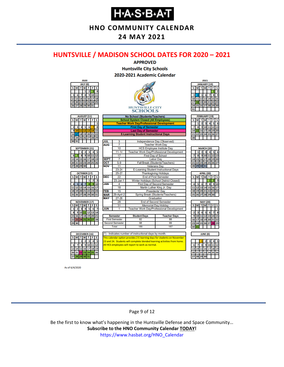**HNO COMMUNITY CALENDAR**

#### **24 MAY 2021**

#### <span id="page-8-0"></span>**HUNTSVILLE / MADISON SCHOOL DATES FOR 2020 – 2021**



As of 6/4/2020

#### Page 9 of 12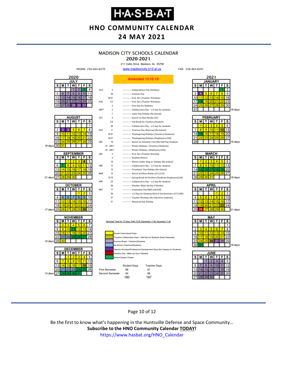**HNO COMMUNITY CALENDAR**

#### **24 MAY 2021**

#### **MADISON CITY SCHOOLS CALENDAR**

#### 2020-2021

211 Celtic Drive Madison, AL 35758 www.madisoncity.k12.al.us

FAX: 256-464-8291



#### Page 10 of 12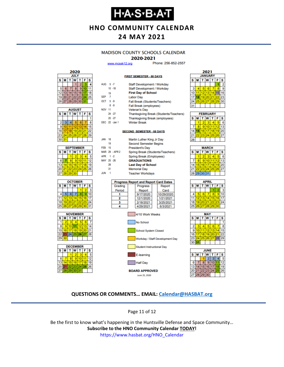### ҤѦӠѵЪѦ

**HNO COMMUNITY CALENDAR**

#### **24 MAY 2021**

#### **MADISON COUNTY SCHOOLS CALENDAR**

#### 2020-2021

**FIRST SEMESTER - 88 DAYS** 

www.mcssk12.org

Phone: 256-852-2557



| <b>AUGUST</b> |    |                        |          |    |    |    |  |
|---------------|----|------------------------|----------|----|----|----|--|
| s             | м  | W<br>т<br>F<br>s<br>τI |          |    |    |    |  |
|               |    |                        |          |    |    |    |  |
| 2             | 3  | 4                      | 5        | 6  |    | 8  |  |
| 9             | 10 | 11                     | 12       | 13 |    | 15 |  |
| 16            | 17 | 18                     | 19 20    |    | 21 | 22 |  |
| 23            | 24 |                        | 25 26 27 |    | 28 | 29 |  |
| 30            | 31 |                        |          |    |    |    |  |

| <b>SEPTEMBER</b> |                       |                 |          |  |    |    |  |  |
|------------------|-----------------------|-----------------|----------|--|----|----|--|--|
| s                | W<br>F<br>S<br>т<br>М |                 |          |  |    |    |  |  |
|                  |                       |                 | 2        |  |    |    |  |  |
| 6                |                       | 8               | ٥        |  |    | 12 |  |  |
| 13               |                       | 15 <sup>1</sup> | 16       |  | 18 | g  |  |  |
| 20               | 21                    |                 | 22 23 24 |  | 25 | 26 |  |  |
| 27               | 28                    | 29 <sub>1</sub> | 30       |  |    |    |  |  |







| AUG 5-7          |    |                | Staff Development / Workday                  |                                        |  |  |  |  |
|------------------|----|----------------|----------------------------------------------|----------------------------------------|--|--|--|--|
|                  |    | $10 - 18$      | Staff Development / Workday                  |                                        |  |  |  |  |
|                  | 19 |                | <b>First Day of School</b>                   |                                        |  |  |  |  |
| SEP <sub>7</sub> |    |                | <b>Labor Day</b>                             |                                        |  |  |  |  |
| OCT 5-9          |    |                | Fall Break (Students/Teachers)               |                                        |  |  |  |  |
|                  |    | $8 - 9$        | <b>Fall Break (employees)</b>                |                                        |  |  |  |  |
| <b>NOV 11</b>    |    |                | <b>Veteran's Day</b>                         |                                        |  |  |  |  |
|                  |    | 24 - 27        |                                              | Thanksgiving Break (Students/Teachers) |  |  |  |  |
|                  |    | $25 - 27$      | <b>Thanksgiving Break (employees)</b>        |                                        |  |  |  |  |
|                  |    | DEC 22 - Jan 1 | <b>Winter Break</b>                          |                                        |  |  |  |  |
|                  |    |                |                                              |                                        |  |  |  |  |
|                  |    |                | <b>SECOND SEMESTER - 88 DAYS</b>             |                                        |  |  |  |  |
|                  |    |                |                                              |                                        |  |  |  |  |
| <b>JAN</b>       | 18 |                | Martin Luther King Jr Day                    |                                        |  |  |  |  |
|                  | 19 |                | <b>Second Semester Begins</b>                |                                        |  |  |  |  |
| <b>FEB</b> 15    |    |                | <b>President's Day</b>                       |                                        |  |  |  |  |
|                  |    | MAR 29 - APR 2 | Spring Break (Students/Teachers)             |                                        |  |  |  |  |
| APR 1 -2         |    |                | Spring Break (Employees)                     |                                        |  |  |  |  |
| MAY 25 -26       |    |                | <b>GRADUATIONS</b>                           |                                        |  |  |  |  |
|                  | 28 |                | <b>Last Day of School</b>                    |                                        |  |  |  |  |
|                  | 31 |                | <b>Memorial Day</b>                          |                                        |  |  |  |  |
| <b>JUN</b>       | 1  |                | <b>Teacher Workdays</b>                      |                                        |  |  |  |  |
|                  |    |                |                                              |                                        |  |  |  |  |
|                  |    |                | <b>Progress Report and Report Card Dates</b> |                                        |  |  |  |  |
|                  |    | Grading        | Progress<br>Report                           |                                        |  |  |  |  |
|                  |    | Period         | Report                                       | Card                                   |  |  |  |  |
|                  |    | 1              | 9/17/2020                                    | 10/29/2020                             |  |  |  |  |
|                  |    | 2              | 12/1/2020                                    | 1/21/2021                              |  |  |  |  |
|                  |    | 3              | 2/18/2021                                    | 3/25/2021                              |  |  |  |  |
|                  |    | 4              | 4/29/2021                                    | 6/3/2021                               |  |  |  |  |



| 2021             |    |    |    |    |    |  |  |
|------------------|----|----|----|----|----|--|--|
| <b>JANUARY</b>   |    |    |    |    |    |  |  |
| s<br>s<br>w<br>F |    |    |    |    |    |  |  |
|                  |    |    |    |    | 2  |  |  |
|                  | 5  | 6  |    | R  | 9  |  |  |
| 11               | 12 | 13 | 14 | 15 | 16 |  |  |
| 18               | 19 | 20 | 21 | 22 | 23 |  |  |
| 25               | 26 | 27 | 28 | 29 | 30 |  |  |
|                  |    |    |    |    |    |  |  |
|                  |    |    |    |    |    |  |  |

| <b>FEBRUARY</b> |    |    |                |    |    |     |  |
|-----------------|----|----|----------------|----|----|-----|--|
| s               | М  |    | W              | т  | F  | s   |  |
|                 |    | 2  | з              |    |    | ĥ   |  |
|                 | ٩  | 9  | 10             |    | 2  | 13  |  |
|                 | 15 | 16 | 17             | 18 | 19 | 120 |  |
|                 |    |    | 23 24 25 26 27 |    |    |     |  |
|                 |    |    |                |    |    |     |  |

| <b>MARCH</b> |             |                        |    |    |    |    |  |  |
|--------------|-------------|------------------------|----|----|----|----|--|--|
| s            | M           | W<br>F<br>Ť.<br>S<br>т |    |    |    |    |  |  |
|              |             | 2                      |    |    |    | R  |  |  |
|              | 8           | 9                      | 10 |    | 12 | 13 |  |  |
| 14           | 15          | 16                     | 17 | 18 | 19 | 20 |  |  |
| 21           |             | 23                     | 24 | 25 | 26 | 27 |  |  |
|              | 28 29 30 31 |                        |    |    |    |    |  |  |
|              |             |                        |    |    |    |    |  |  |

| APRIL |          |    |             |    |    |    |  |
|-------|----------|----|-------------|----|----|----|--|
| S     | М        |    | W           |    | F  | S  |  |
|       |          |    |             |    |    | 3  |  |
|       |          | 6  |             | 8  | ٥  | 10 |  |
| 11    | 12       | 13 | 14          | 15 | 16 | 17 |  |
| 18    |          |    | 19 20 21 22 |    | 23 | 24 |  |
| 25    | 26 27 28 |    |             | 29 | 30 |    |  |
|       |          |    |             |    |    |    |  |





#### **QUESTIONS OR COMMENTS… EMAIL: [Calendar@HASBAT.org](mailto:calendar@hasbat.org)**

Page 11 of 12